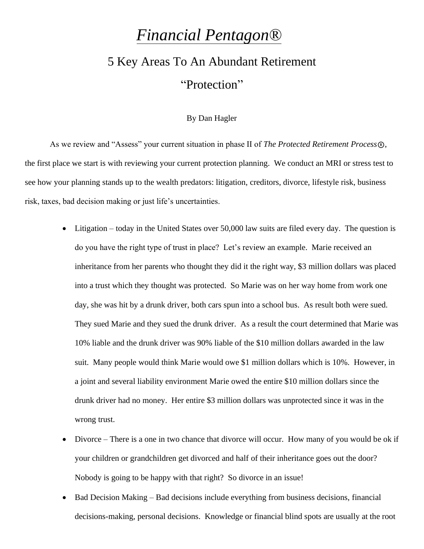## *Financial Pentagon®*

## 5 Key Areas To An Abundant Retirement "Protection"

## By Dan Hagler

As we review and "Assess" your current situation in phase II of *The Protected Retirement Process*®, the first place we start is with reviewing your current protection planning. We conduct an MRI or stress test to see how your planning stands up to the wealth predators: litigation, creditors, divorce, lifestyle risk, business risk, taxes, bad decision making or just life's uncertainties.

- Litigation today in the United States over 50,000 law suits are filed every day. The question is do you have the right type of trust in place? Let's review an example. Marie received an inheritance from her parents who thought they did it the right way, \$3 million dollars was placed into a trust which they thought was protected. So Marie was on her way home from work one day, she was hit by a drunk driver, both cars spun into a school bus. As result both were sued. They sued Marie and they sued the drunk driver. As a result the court determined that Marie was 10% liable and the drunk driver was 90% liable of the \$10 million dollars awarded in the law suit. Many people would think Marie would owe \$1 million dollars which is 10%. However, in a joint and several liability environment Marie owed the entire \$10 million dollars since the drunk driver had no money. Her entire \$3 million dollars was unprotected since it was in the wrong trust.
- Divorce There is a one in two chance that divorce will occur. How many of you would be ok if your children or grandchildren get divorced and half of their inheritance goes out the door? Nobody is going to be happy with that right? So divorce in an issue!
- Bad Decision Making Bad decisions include everything from business decisions, financial decisions-making, personal decisions. Knowledge or financial blind spots are usually at the root